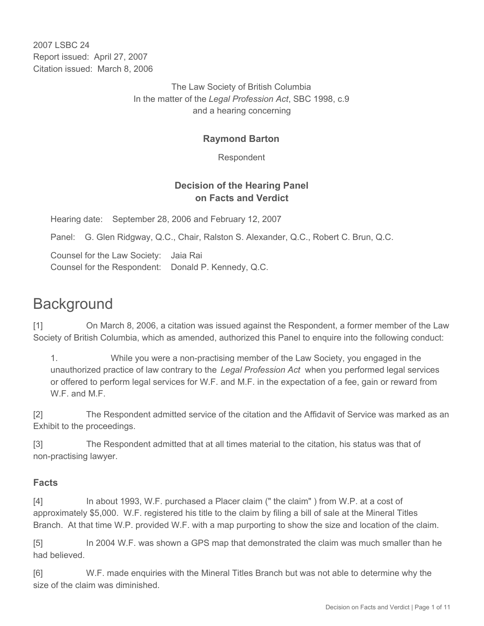2007 LSBC 24 Report issued: April 27, 2007 Citation issued: March 8, 2006

> The Law Society of British Columbia In the matter of the *Legal Profession Act*, SBC 1998, c.9 and a hearing concerning

## **Raymond Barton**

Respondent

## **Decision of the Hearing Panel on Facts and Verdict**

Hearing date: September 28, 2006 and February 12, 2007

Panel: G. Glen Ridgway, Q.C., Chair, Ralston S. Alexander, Q.C., Robert C. Brun, Q.C.

Counsel for the Law Society: Jaia Rai Counsel for the Respondent: Donald P. Kennedy, Q.C.

# **Background**

[1] On March 8, 2006, a citation was issued against the Respondent, a former member of the Law Society of British Columbia, which as amended, authorized this Panel to enquire into the following conduct:

1. While you were a non-practising member of the Law Society, you engaged in the unauthorized practice of law contrary to the *Legal Profession Act* when you performed legal services or offered to perform legal services for W.F. and M.F. in the expectation of a fee, gain or reward from W.F. and M.F.

[2] The Respondent admitted service of the citation and the Affidavit of Service was marked as an Exhibit to the proceedings.

[3] The Respondent admitted that at all times material to the citation, his status was that of non-practising lawyer.

## **Facts**

[4] In about 1993, W.F. purchased a Placer claim (" the claim" ) from W.P. at a cost of approximately \$5,000. W.F. registered his title to the claim by filing a bill of sale at the Mineral Titles Branch. At that time W.P. provided W.F. with a map purporting to show the size and location of the claim.

[5] In 2004 W.F. was shown a GPS map that demonstrated the claim was much smaller than he had believed.

[6] W.F. made enquiries with the Mineral Titles Branch but was not able to determine why the size of the claim was diminished.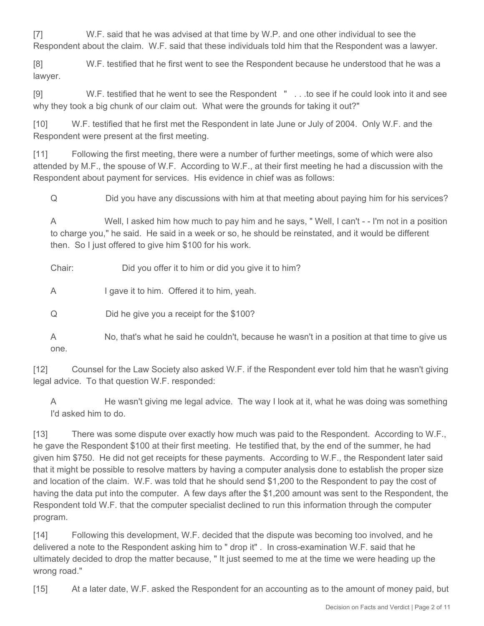[7] W.F. said that he was advised at that time by W.P. and one other individual to see the Respondent about the claim. W.F. said that these individuals told him that the Respondent was a lawyer.

[8] W.F. testified that he first went to see the Respondent because he understood that he was a lawyer.

[9] W.F. testified that he went to see the Respondent " . . .to see if he could look into it and see why they took a big chunk of our claim out. What were the grounds for taking it out?"

[10] W.F. testified that he first met the Respondent in late June or July of 2004. Only W.F. and the Respondent were present at the first meeting.

[11] Following the first meeting, there were a number of further meetings, some of which were also attended by M.F., the spouse of W.F. According to W.F., at their first meeting he had a discussion with the Respondent about payment for services. His evidence in chief was as follows:

Q Did you have any discussions with him at that meeting about paying him for his services?

A Well, I asked him how much to pay him and he says, " Well, I can't - - I'm not in a position to charge you," he said. He said in a week or so, he should be reinstated, and it would be different then. So I just offered to give him \$100 for his work.

Chair: Did you offer it to him or did you give it to him?

A I gave it to him. Offered it to him, yeah.

Q Did he give you a receipt for the \$100?

A No, that's what he said he couldn't, because he wasn't in a position at that time to give us one.

[12] Counsel for the Law Society also asked W.F. if the Respondent ever told him that he wasn't giving legal advice. To that question W.F. responded:

A He wasn't giving me legal advice. The way I look at it, what he was doing was something I'd asked him to do.

[13] There was some dispute over exactly how much was paid to the Respondent. According to W.F., he gave the Respondent \$100 at their first meeting. He testified that, by the end of the summer, he had given him \$750. He did not get receipts for these payments. According to W.F., the Respondent later said that it might be possible to resolve matters by having a computer analysis done to establish the proper size and location of the claim. W.F. was told that he should send \$1,200 to the Respondent to pay the cost of having the data put into the computer. A few days after the \$1,200 amount was sent to the Respondent, the Respondent told W.F. that the computer specialist declined to run this information through the computer program.

[14] Following this development, W.F. decided that the dispute was becoming too involved, and he delivered a note to the Respondent asking him to " drop it" . In cross-examination W.F. said that he ultimately decided to drop the matter because, " It just seemed to me at the time we were heading up the wrong road."

[15] At a later date, W.F. asked the Respondent for an accounting as to the amount of money paid, but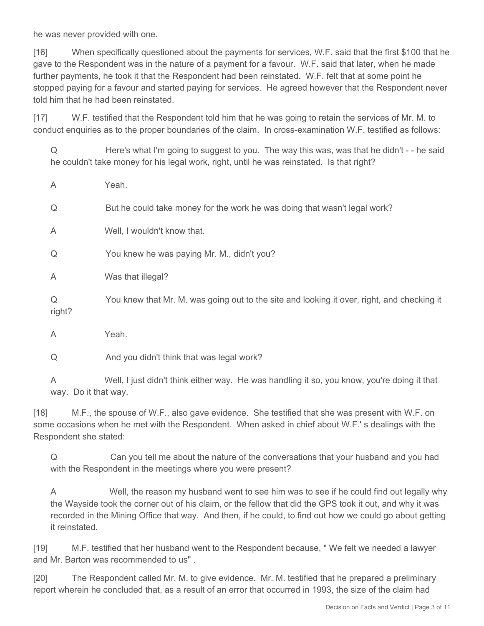he was never provided with one.

[16] When specifically questioned about the payments for services, W.F. said that the first \$100 that he gave to the Respondent was in the nature of a payment for a favour. W.F. said that later, when he made further payments, he took it that the Respondent had been reinstated. W.F. felt that at some point he stopped paying for a favour and started paying for services. He agreed however that the Respondent never told him that he had been reinstated.

[17] W.F. testified that the Respondent told him that he was going to retain the services of Mr. M. to conduct enquiries as to the proper boundaries of the claim. In cross-examination W.F. testified as follows:

Q Here's what I'm going to suggest to you. The way this was, was that he didn't - - he said he couldn't take money for his legal work, right, until he was reinstated. Is that right?

| $\overline{A}$ | Yeah.                                                                                      |  |  |
|----------------|--------------------------------------------------------------------------------------------|--|--|
| Q              | But he could take money for the work he was doing that wasn't legal work?                  |  |  |
| A              | Well, I wouldn't know that.                                                                |  |  |
| Q              | You knew he was paying Mr. M., didn't you?                                                 |  |  |
| $\overline{A}$ | Was that illegal?                                                                          |  |  |
| Q<br>right?    | You knew that Mr. M. was going out to the site and looking it over, right, and checking it |  |  |
| $\overline{A}$ | Yeah.                                                                                      |  |  |
| Q              | And you didn't think that was legal work?                                                  |  |  |

A Well, I just didn't think either way. He was handling it so, you know, you're doing it that way. Do it that way.

[18] M.F., the spouse of W.F., also gave evidence. She testified that she was present with W.F. on some occasions when he met with the Respondent. When asked in chief about W.F.' s dealings with the Respondent she stated:

Q Can you tell me about the nature of the conversations that your husband and you had with the Respondent in the meetings where you were present?

A Well, the reason my husband went to see him was to see if he could find out legally why the Wayside took the corner out of his claim, or the fellow that did the GPS took it out, and why it was recorded in the Mining Office that way. And then, if he could, to find out how we could go about getting it reinstated.

[19] M.F. testified that her husband went to the Respondent because, " We felt we needed a lawyer and Mr. Barton was recommended to us" .

[20] The Respondent called Mr. M. to give evidence. Mr. M. testified that he prepared a preliminary report wherein he concluded that, as a result of an error that occurred in 1993, the size of the claim had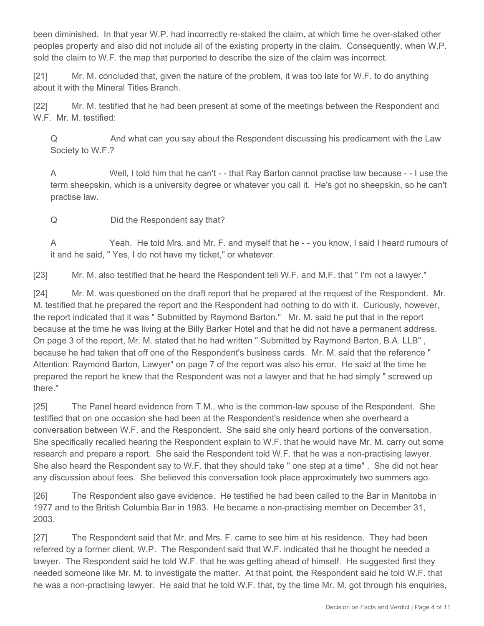been diminished. In that year W.P. had incorrectly re-staked the claim, at which time he over-staked other peoples property and also did not include all of the existing property in the claim. Consequently, when W.P. sold the claim to W.F. the map that purported to describe the size of the claim was incorrect.

[21] Mr. M. concluded that, given the nature of the problem, it was too late for W.F. to do anything about it with the Mineral Titles Branch.

[22] Mr. M. testified that he had been present at some of the meetings between the Respondent and W.F. Mr. M. testified:

Q And what can you say about the Respondent discussing his predicament with the Law Society to W.F.?

A Well, I told him that he can't - - that Ray Barton cannot practise law because - - I use the term sheepskin, which is a university degree or whatever you call it. He's got no sheepskin, so he can't practise law.

Q Did the Respondent say that?

A Yeah. He told Mrs. and Mr. F. and myself that he - - you know, I said I heard rumours of it and he said, " Yes, I do not have my ticket," or whatever.

[23] Mr. M. also testified that he heard the Respondent tell W.F. and M.F. that "I'm not a lawyer."

[24] Mr. M. was questioned on the draft report that he prepared at the request of the Respondent. Mr. M. testified that he prepared the report and the Respondent had nothing to do with it. Curiously, however, the report indicated that it was " Submitted by Raymond Barton." Mr. M. said he put that in the report because at the time he was living at the Billy Barker Hotel and that he did not have a permanent address. On page 3 of the report, Mr. M. stated that he had written " Submitted by Raymond Barton, B.A. LLB" , because he had taken that off one of the Respondent's business cards. Mr. M. said that the reference " Attention: Raymond Barton, Lawyer" on page 7 of the report was also his error. He said at the time he prepared the report he knew that the Respondent was not a lawyer and that he had simply " screwed up there."

[25] The Panel heard evidence from T.M., who is the common-law spouse of the Respondent. She testified that on one occasion she had been at the Respondent's residence when she overheard a conversation between W.F. and the Respondent. She said she only heard portions of the conversation. She specifically recalled hearing the Respondent explain to W.F. that he would have Mr. M. carry out some research and prepare a report. She said the Respondent told W.F. that he was a non-practising lawyer. She also heard the Respondent say to W.F. that they should take " one step at a time" . She did not hear any discussion about fees. She believed this conversation took place approximately two summers ago.

[26] The Respondent also gave evidence. He testified he had been called to the Bar in Manitoba in 1977 and to the British Columbia Bar in 1983. He became a non-practising member on December 31, 2003.

[27] The Respondent said that Mr. and Mrs. F. came to see him at his residence. They had been referred by a former client, W.P. The Respondent said that W.F. indicated that he thought he needed a lawyer. The Respondent said he told W.F. that he was getting ahead of himself. He suggested first they needed someone like Mr. M. to investigate the matter. At that point, the Respondent said he told W.F. that he was a non-practising lawyer. He said that he told W.F. that, by the time Mr. M. got through his enquiries,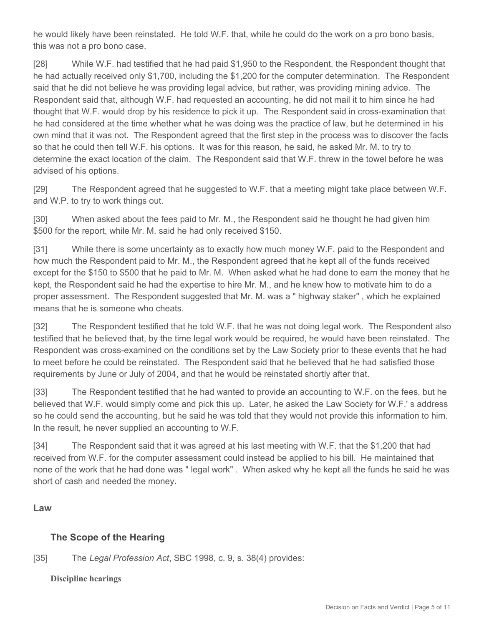he would likely have been reinstated. He told W.F. that, while he could do the work on a pro bono basis, this was not a pro bono case.

[28] While W.F. had testified that he had paid \$1,950 to the Respondent, the Respondent thought that he had actually received only \$1,700, including the \$1,200 for the computer determination. The Respondent said that he did not believe he was providing legal advice, but rather, was providing mining advice. The Respondent said that, although W.F. had requested an accounting, he did not mail it to him since he had thought that W.F. would drop by his residence to pick it up. The Respondent said in cross-examination that he had considered at the time whether what he was doing was the practice of law, but he determined in his own mind that it was not. The Respondent agreed that the first step in the process was to discover the facts so that he could then tell W.F. his options. It was for this reason, he said, he asked Mr. M. to try to determine the exact location of the claim. The Respondent said that W.F. threw in the towel before he was advised of his options.

[29] The Respondent agreed that he suggested to W.F. that a meeting might take place between W.F. and W.P. to try to work things out.

[30] When asked about the fees paid to Mr. M., the Respondent said he thought he had given him \$500 for the report, while Mr. M. said he had only received \$150.

[31] While there is some uncertainty as to exactly how much money W.F. paid to the Respondent and how much the Respondent paid to Mr. M., the Respondent agreed that he kept all of the funds received except for the \$150 to \$500 that he paid to Mr. M. When asked what he had done to earn the money that he kept, the Respondent said he had the expertise to hire Mr. M., and he knew how to motivate him to do a proper assessment. The Respondent suggested that Mr. M. was a " highway staker" , which he explained means that he is someone who cheats.

[32] The Respondent testified that he told W.F. that he was not doing legal work. The Respondent also testified that he believed that, by the time legal work would be required, he would have been reinstated. The Respondent was cross-examined on the conditions set by the Law Society prior to these events that he had to meet before he could be reinstated. The Respondent said that he believed that he had satisfied those requirements by June or July of 2004, and that he would be reinstated shortly after that.

[33] The Respondent testified that he had wanted to provide an accounting to W.F. on the fees, but he believed that W.F. would simply come and pick this up. Later, he asked the Law Society for W.F.' s address so he could send the accounting, but he said he was told that they would not provide this information to him. In the result, he never supplied an accounting to W.F.

[34] The Respondent said that it was agreed at his last meeting with W.F. that the \$1,200 that had received from W.F. for the computer assessment could instead be applied to his bill. He maintained that none of the work that he had done was " legal work" . When asked why he kept all the funds he said he was short of cash and needed the money.

#### **Law**

## **The Scope of the Hearing**

#### [35] The *Legal Profession Act*, SBC 1998, c. 9, s. 38(4) provides:

**Discipline hearings**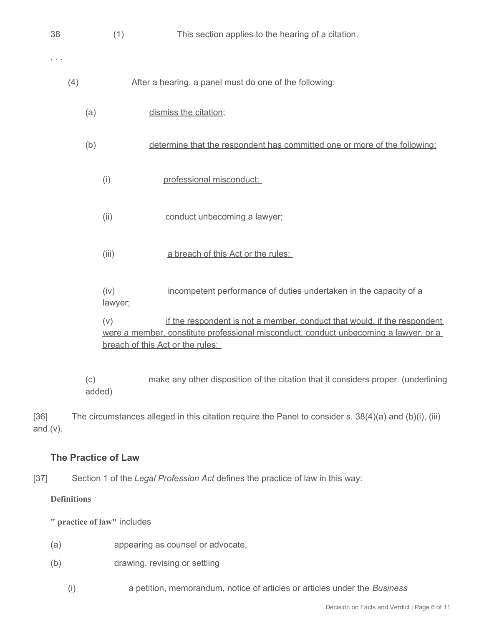| 38       |     |     | (1)             | This section applies to the hearing of a citation.                                                                                                                                                   |
|----------|-----|-----|-----------------|------------------------------------------------------------------------------------------------------------------------------------------------------------------------------------------------------|
| $\cdots$ |     |     |                 |                                                                                                                                                                                                      |
|          | (4) |     |                 | After a hearing, a panel must do one of the following:                                                                                                                                               |
|          |     | (a) |                 | dismiss the citation;                                                                                                                                                                                |
|          |     | (b) |                 | determine that the respondent has committed one or more of the following:                                                                                                                            |
|          |     |     | (i)             | professional misconduct:                                                                                                                                                                             |
|          |     |     | (ii)            | conduct unbecoming a lawyer;                                                                                                                                                                         |
|          |     |     | (iii)           | a breach of this Act or the rules;                                                                                                                                                                   |
|          |     |     | (iv)<br>lawyer; | incompetent performance of duties undertaken in the capacity of a                                                                                                                                    |
|          |     |     | (v)             | if the respondent is not a member, conduct that would, if the respondent<br>were a member, constitute professional misconduct, conduct unbecoming a lawyer, or a<br>breach of this Act or the rules: |

(c) make any other disposition of the citation that it considers proper. (underlining added)

[36] The circumstances alleged in this citation require the Panel to consider s. 38(4)(a) and (b)(i), (iii) and (v).

## **The Practice of Law**

[37] Section 1 of the *Legal Profession Act* defines the practice of law in this way:

#### **Definitions**

**" practice of law"** includes

- (a) appearing as counsel or advocate,
- (b) drawing, revising or settling
	- (i) a petition, memorandum, notice of articles or articles under the *Business*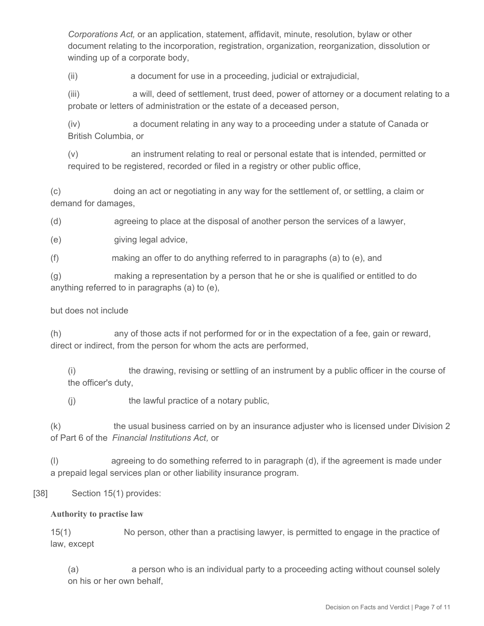*Corporations Act,* or an application, statement, affidavit, minute, resolution, bylaw or other document relating to the incorporation, registration, organization, reorganization, dissolution or winding up of a corporate body,

(ii) a document for use in a proceeding, judicial or extrajudicial,

(iii) a will, deed of settlement, trust deed, power of attorney or a document relating to a probate or letters of administration or the estate of a deceased person,

(iv) a document relating in any way to a proceeding under a statute of Canada or British Columbia, or

(v) an instrument relating to real or personal estate that is intended, permitted or required to be registered, recorded or filed in a registry or other public office,

(c) doing an act or negotiating in any way for the settlement of, or settling, a claim or demand for damages,

(d) agreeing to place at the disposal of another person the services of a lawyer,

(e) giving legal advice,

(f) making an offer to do anything referred to in paragraphs (a) to (e), and

(g) making a representation by a person that he or she is qualified or entitled to do anything referred to in paragraphs (a) to (e),

#### but does not include

(h) any of those acts if not performed for or in the expectation of a fee, gain or reward, direct or indirect, from the person for whom the acts are performed,

(i) the drawing, revising or settling of an instrument by a public officer in the course of the officer's duty,

(j) the lawful practice of a notary public,

(k) the usual business carried on by an insurance adjuster who is licensed under Division 2 of Part 6 of the *Financial Institutions Act,* or

(l) agreeing to do something referred to in paragraph (d), if the agreement is made under a prepaid legal services plan or other liability insurance program.

#### [38] Section 15(1) provides:

#### **Authority to practise law**

15(1) No person, other than a practising lawyer, is permitted to engage in the practice of law, except

(a) a person who is an individual party to a proceeding acting without counsel solely on his or her own behalf,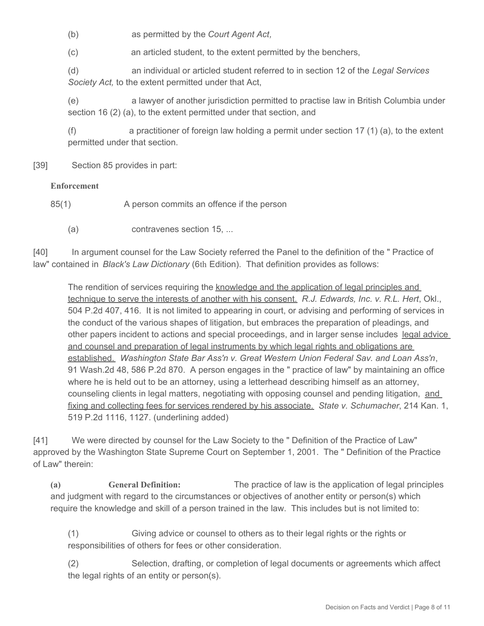(b) as permitted by the *Court Agent Act,*

(c) an articled student, to the extent permitted by the benchers,

(d) an individual or articled student referred to in section 12 of the *Legal Services Society Act,* to the extent permitted under that Act,

(e) a lawyer of another jurisdiction permitted to practise law in British Columbia under section 16 (2) (a), to the extent permitted under that section, and

(f) a practitioner of foreign law holding a permit under section 17 (1) (a), to the extent permitted under that section.

[39] Section 85 provides in part:

#### **Enforcement**

85(1) A person commits an offence if the person

(a) contravenes section 15, ...

[40] In argument counsel for the Law Society referred the Panel to the definition of the " Practice of law" contained in *Black's Law Dictionary* (6th Edition). That definition provides as follows:

The rendition of services requiring the knowledge and the application of legal principles and technique to serve the interests of another with his consent. *R.J. Edwards, Inc. v. R.L. Hert*, Okl., 504 P.2d 407, 416. It is not limited to appearing in court, or advising and performing of services in the conduct of the various shapes of litigation, but embraces the preparation of pleadings, and other papers incident to actions and special proceedings, and in larger sense includes legal advice and counsel and preparation of legal instruments by which legal rights and obligations are established. *Washington State Bar Ass'n v. Great Western Union Federal Sav. and Loan Ass'n*, 91 Wash.2d 48, 586 P.2d 870. A person engages in the " practice of law" by maintaining an office where he is held out to be an attorney, using a letterhead describing himself as an attorney, counseling clients in legal matters, negotiating with opposing counsel and pending litigation, and fixing and collecting fees for services rendered by his associate. *State v. Schumacher*, 214 Kan. 1, 519 P.2d 1116, 1127. (underlining added)

[41] We were directed by counsel for the Law Society to the " Definition of the Practice of Law" approved by the Washington State Supreme Court on September 1, 2001. The " Definition of the Practice of Law" therein:

**(a) General Definition:** The practice of law is the application of legal principles and judgment with regard to the circumstances or objectives of another entity or person(s) which require the knowledge and skill of a person trained in the law. This includes but is not limited to:

(1) Giving advice or counsel to others as to their legal rights or the rights or responsibilities of others for fees or other consideration.

(2) Selection, drafting, or completion of legal documents or agreements which affect the legal rights of an entity or person(s).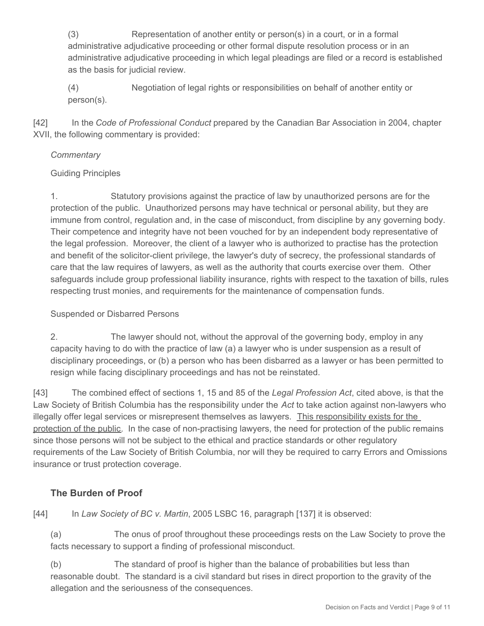(3) Representation of another entity or person(s) in a court, or in a formal administrative adjudicative proceeding or other formal dispute resolution process or in an administrative adjudicative proceeding in which legal pleadings are filed or a record is established as the basis for judicial review.

(4) Negotiation of legal rights or responsibilities on behalf of another entity or person(s).

[42] In the *Code of Professional Conduct* prepared by the Canadian Bar Association in 2004, chapter XVII, the following commentary is provided:

## *Commentary*

## Guiding Principles

1. Statutory provisions against the practice of law by unauthorized persons are for the protection of the public. Unauthorized persons may have technical or personal ability, but they are immune from control, regulation and, in the case of misconduct, from discipline by any governing body. Their competence and integrity have not been vouched for by an independent body representative of the legal profession. Moreover, the client of a lawyer who is authorized to practise has the protection and benefit of the solicitor-client privilege, the lawyer's duty of secrecy, the professional standards of care that the law requires of lawyers, as well as the authority that courts exercise over them. Other safeguards include group professional liability insurance, rights with respect to the taxation of bills, rules respecting trust monies, and requirements for the maintenance of compensation funds.

## Suspended or Disbarred Persons

2. The lawyer should not, without the approval of the governing body, employ in any capacity having to do with the practice of law (a) a lawyer who is under suspension as a result of disciplinary proceedings, or (b) a person who has been disbarred as a lawyer or has been permitted to resign while facing disciplinary proceedings and has not be reinstated.

[43] The combined effect of sections 1, 15 and 85 of the *Legal Profession Act*, cited above, is that the Law Society of British Columbia has the responsibility under the *Act* to take action against non-lawyers who illegally offer legal services or misrepresent themselves as lawyers. This responsibility exists for the protection of the public. In the case of non-practising lawyers, the need for protection of the public remains since those persons will not be subject to the ethical and practice standards or other regulatory requirements of the Law Society of British Columbia, nor will they be required to carry Errors and Omissions insurance or trust protection coverage.

## **The Burden of Proof**

[44] In *Law Society of BC v. Martin*, 2005 LSBC 16, paragraph [137] it is observed:

(a) The onus of proof throughout these proceedings rests on the Law Society to prove the facts necessary to support a finding of professional misconduct.

(b) The standard of proof is higher than the balance of probabilities but less than reasonable doubt. The standard is a civil standard but rises in direct proportion to the gravity of the allegation and the seriousness of the consequences.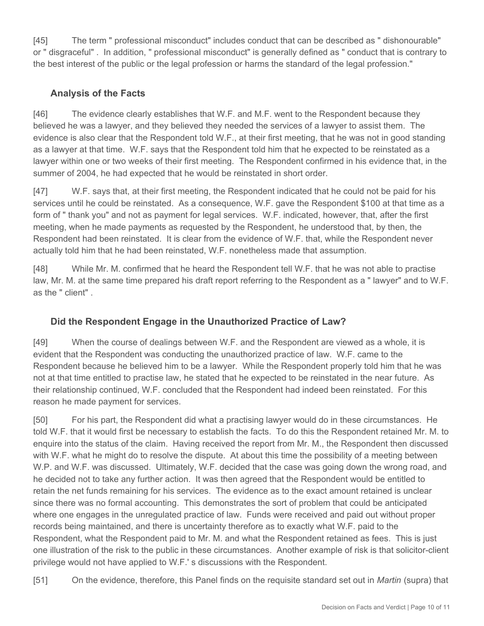[45] The term " professional misconduct" includes conduct that can be described as " dishonourable" or " disgraceful" . In addition, " professional misconduct" is generally defined as " conduct that is contrary to the best interest of the public or the legal profession or harms the standard of the legal profession."

# **Analysis of the Facts**

[46] The evidence clearly establishes that W.F. and M.F. went to the Respondent because they believed he was a lawyer, and they believed they needed the services of a lawyer to assist them. The evidence is also clear that the Respondent told W.F., at their first meeting, that he was not in good standing as a lawyer at that time. W.F. says that the Respondent told him that he expected to be reinstated as a lawyer within one or two weeks of their first meeting. The Respondent confirmed in his evidence that, in the summer of 2004, he had expected that he would be reinstated in short order.

[47] W.F. says that, at their first meeting, the Respondent indicated that he could not be paid for his services until he could be reinstated. As a consequence, W.F. gave the Respondent \$100 at that time as a form of " thank you" and not as payment for legal services. W.F. indicated, however, that, after the first meeting, when he made payments as requested by the Respondent, he understood that, by then, the Respondent had been reinstated. It is clear from the evidence of W.F. that, while the Respondent never actually told him that he had been reinstated, W.F. nonetheless made that assumption.

[48] While Mr. M. confirmed that he heard the Respondent tell W.F. that he was not able to practise law, Mr. M. at the same time prepared his draft report referring to the Respondent as a " lawyer" and to W.F. as the " client" .

# **Did the Respondent Engage in the Unauthorized Practice of Law?**

[49] When the course of dealings between W.F. and the Respondent are viewed as a whole, it is evident that the Respondent was conducting the unauthorized practice of law. W.F. came to the Respondent because he believed him to be a lawyer. While the Respondent properly told him that he was not at that time entitled to practise law, he stated that he expected to be reinstated in the near future. As their relationship continued, W.F. concluded that the Respondent had indeed been reinstated. For this reason he made payment for services.

[50] For his part, the Respondent did what a practising lawyer would do in these circumstances. He told W.F. that it would first be necessary to establish the facts. To do this the Respondent retained Mr. M. to enquire into the status of the claim. Having received the report from Mr. M., the Respondent then discussed with W.F. what he might do to resolve the dispute. At about this time the possibility of a meeting between W.P. and W.F. was discussed. Ultimately, W.F. decided that the case was going down the wrong road, and he decided not to take any further action. It was then agreed that the Respondent would be entitled to retain the net funds remaining for his services. The evidence as to the exact amount retained is unclear since there was no formal accounting. This demonstrates the sort of problem that could be anticipated where one engages in the unregulated practice of law. Funds were received and paid out without proper records being maintained, and there is uncertainty therefore as to exactly what W.F. paid to the Respondent, what the Respondent paid to Mr. M. and what the Respondent retained as fees. This is just one illustration of the risk to the public in these circumstances. Another example of risk is that solicitor-client privilege would not have applied to W.F.' s discussions with the Respondent.

[51] On the evidence, therefore, this Panel finds on the requisite standard set out in *Martin* (supra) that